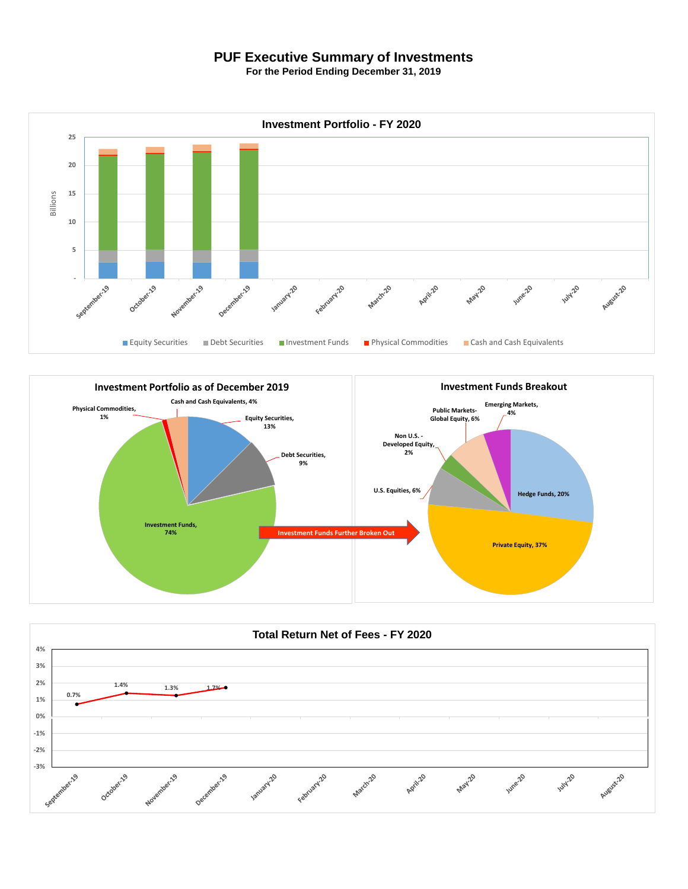## **PUF Executive Summary of Investments**

**For the Period Ending December 31, 2019**